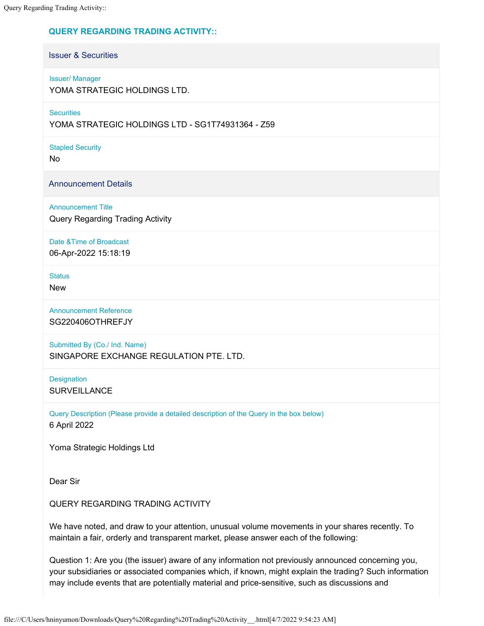## **QUERY REGARDING TRADING ACTIVITY::**

Issuer & Securities

Issuer/ Manager

YOMA STRATEGIC HOLDINGS LTD.

**Securities** 

YOMA STRATEGIC HOLDINGS LTD - SG1T74931364 - Z59

Stapled Security

No

Announcement Details

Announcement Title Query Regarding Trading Activity

Date &Time of Broadcast

06-Apr-2022 15:18:19

**Status** 

New

Announcement Reference SG220406OTHREFJY

Submitted By (Co./ Ind. Name) SINGAPORE EXCHANGE REGULATION PTE. LTD.

**Designation SURVEILLANCE** 

Query Description (Please provide a detailed description of the Query in the box below) 6 April 2022

Yoma Strategic Holdings Ltd

Dear Sir

QUERY REGARDING TRADING ACTIVITY

We have noted, and draw to your attention, unusual volume movements in your shares recently. To maintain a fair, orderly and transparent market, please answer each of the following:

Question 1: Are you (the issuer) aware of any information not previously announced concerning you, your subsidiaries or associated companies which, if known, might explain the trading? Such information may include events that are potentially material and price-sensitive, such as discussions and